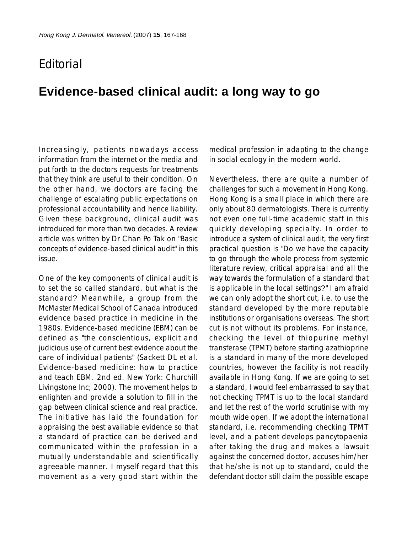## **F**ditorial

## **Evidence-based clinical audit: a long way to go**

Increasingly, patients nowadays access information from the internet or the media and put forth to the doctors requests for treatments that they think are useful to their condition. On the other hand, we doctors are facing the challenge of escalating public expectations on professional accountability and hence liability. Given these background, clinical audit was introduced for more than two decades. A review article was written by Dr Chan Po Tak on "Basic concepts of evidence-based clinical audit" in this issue.

One of the key components of clinical audit is to set the so called standard, but what is the standard? Meanwhile, a group from the McMaster Medical School of Canada introduced evidence based practice in medicine in the 1980s. Evidence-based medicine (EBM) can be defined as "the conscientious, explicit and judicious use of current best evidence about the care of individual patients" (Sackett DL et al. Evidence-based medicine: how to practice and teach EBM. 2nd ed. New York: Churchill Livingstone Inc; 2000). The movement helps to enlighten and provide a solution to fill in the gap between clinical science and real practice. The initiative has laid the foundation for appraising the best available evidence so that a standard of practice can be derived and communicated within the profession in a mutually understandable and scientifically agreeable manner. I myself regard that this movement as a very good start within the

medical profession in adapting to the change in social ecology in the modern world.

Nevertheless, there are quite a number of challenges for such a movement in Hong Kong. Hong Kong is a small place in which there are only about 80 dermatologists. There is currently not even one full-time academic staff in this quickly developing specialty. In order to introduce a system of clinical audit, the very first practical question is "Do we have the capacity to go through the whole process from systemic literature review, critical appraisal and all the way towards the formulation of a standard that is applicable in the local settings?" I am afraid we can only adopt the short cut, i.e. to use the standard developed by the more reputable institutions or organisations overseas. The short cut is not without its problems. For instance, checking the level of thiopurine methyl transferase (TPMT) before starting azathioprine is a standard in many of the more developed countries, however the facility is not readily available in Hong Kong. If we are going to set a standard, I would feel embarrassed to say that not checking TPMT is up to the local standard and let the rest of the world scrutinise with my mouth wide open. If we adopt the international standard, i.e. recommending checking TPMT level, and a patient develops pancytopaenia after taking the drug and makes a lawsuit against the concerned doctor, accuses him/her that he/she is not up to standard, could the defendant doctor still claim the possible escape